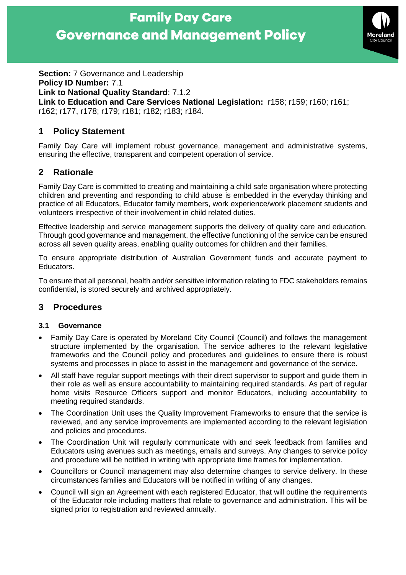

**Section: 7 Governance and Leadership** 

**Policy ID Number:** 7.1

**Link to National Quality Standard**: 7.1.2

**Link to Education and Care Services National Legislation:** r158; r159; r160; r161;

r162; r177, r178; r179; r181; r182; r183; r184.

# **1 Policy Statement**

Family Day Care will implement robust governance, management and administrative systems, ensuring the effective, transparent and competent operation of service.

## **2 Rationale**

Family Day Care is committed to creating and maintaining a child safe organisation where protecting children and preventing and responding to child abuse is embedded in the everyday thinking and practice of all Educators, Educator family members, work experience/work placement students and volunteers irrespective of their involvement in child related duties.

Effective leadership and service management supports the delivery of quality care and education. Through good governance and management, the effective functioning of the service can be ensured across all seven quality areas, enabling quality outcomes for children and their families.

To ensure appropriate distribution of Australian Government funds and accurate payment to Educators.

To ensure that all personal, health and/or sensitive information relating to FDC stakeholders remains confidential, is stored securely and archived appropriately.

# **3 Procedures**

### **3.1 Governance**

- Family Day Care is operated by Moreland City Council (Council) and follows the management structure implemented by the organisation. The service adheres to the relevant legislative frameworks and the Council policy and procedures and guidelines to ensure there is robust systems and processes in place to assist in the management and governance of the service.
- All staff have regular support meetings with their direct supervisor to support and guide them in their role as well as ensure accountability to maintaining required standards. As part of regular home visits Resource Officers support and monitor Educators, including accountability to meeting required standards.
- The Coordination Unit uses the Quality Improvement Frameworks to ensure that the service is reviewed, and any service improvements are implemented according to the relevant legislation and policies and procedures.
- The Coordination Unit will regularly communicate with and seek feedback from families and Educators using avenues such as meetings, emails and surveys. Any changes to service policy and procedure will be notified in writing with appropriate time frames for implementation.
- Councillors or Council management may also determine changes to service delivery. In these circumstances families and Educators will be notified in writing of any changes.
- Council will sign an Agreement with each registered Educator, that will outline the requirements of the Educator role including matters that relate to governance and administration. This will be signed prior to registration and reviewed annually.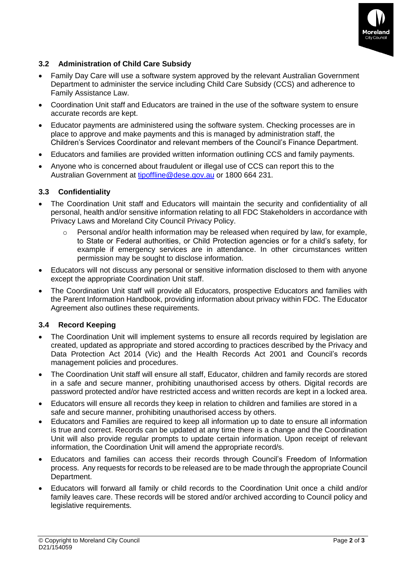

## **3.2 Administration of Child Care Subsidy**

- Family Day Care will use a software system approved by the relevant Australian Government Department to administer the service including Child Care Subsidy (CCS) and adherence to Family Assistance Law.
- Coordination Unit staff and Educators are trained in the use of the software system to ensure accurate records are kept.
- Educator payments are administered using the software system. Checking processes are in place to approve and make payments and this is managed by administration staff, the Children's Services Coordinator and relevant members of the Council's Finance Department.
- Educators and families are provided written information outlining CCS and family payments.
- Anyone who is concerned about fraudulent or illegal use of CCS can report this to the Australian Government at [tipoffline@dese.gov.au](mailto:tipoffline@dese.gov.au) or 1800 664 231.

#### **3.3 Confidentiality**

- The Coordination Unit staff and Educators will maintain the security and confidentiality of all personal, health and/or sensitive information relating to all FDC Stakeholders in accordance with Privacy Laws and Moreland City Council Privacy Policy.
	- o Personal and/or health information may be released when required by law, for example, to State or Federal authorities, or Child Protection agencies or for a child's safety, for example if emergency services are in attendance. In other circumstances written permission may be sought to disclose information.
- Educators will not discuss any personal or sensitive information disclosed to them with anyone except the appropriate Coordination Unit staff.
- The Coordination Unit staff will provide all Educators, prospective Educators and families with the Parent Information Handbook, providing information about privacy within FDC. The Educator Agreement also outlines these requirements.

### **3.4 Record Keeping**

- The Coordination Unit will implement systems to ensure all records required by legislation are created, updated as appropriate and stored according to practices described by the Privacy and Data Protection Act 2014 (Vic) and the Health Records Act 2001 and Council's records management policies and procedures.
- The Coordination Unit staff will ensure all staff, Educator, children and family records are stored in a safe and secure manner, prohibiting unauthorised access by others. Digital records are password protected and/or have restricted access and written records are kept in a locked area.
- Educators will ensure all records they keep in relation to children and families are stored in a safe and secure manner, prohibiting unauthorised access by others.
- Educators and Families are required to keep all information up to date to ensure all information is true and correct. Records can be updated at any time there is a change and the Coordination Unit will also provide regular prompts to update certain information. Upon receipt of relevant information, the Coordination Unit will amend the appropriate record/s.
- Educators and families can access their records through Council's Freedom of Information process. Any requests for records to be released are to be made through the appropriate Council Department.
- Educators will forward all family or child records to the Coordination Unit once a child and/or family leaves care. These records will be stored and/or archived according to Council policy and legislative requirements.